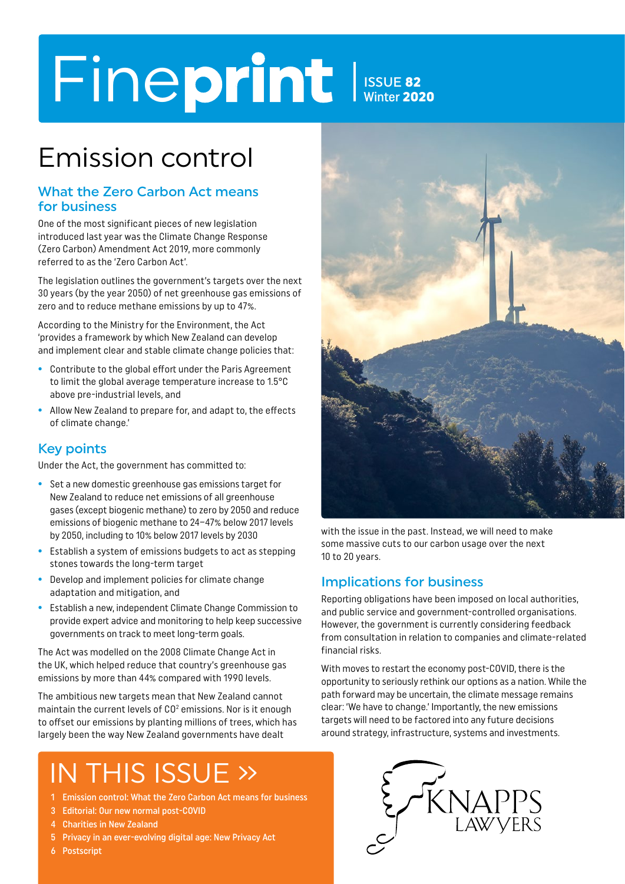# Fineprint ISSUE 82 Winter 2020

# Emission control

### What the Zero Carbon Act means for business

One of the most significant pieces of new legislation introduced last year was the Climate Change Response (Zero Carbon) Amendment Act 2019, more commonly referred to as the 'Zero Carbon Act'.

The legislation outlines the government's targets over the next 30 years (by the year 2050) of net greenhouse gas emissions of zero and to reduce methane emissions by up to 47%.

According to the Ministry for the Environment, the Act 'provides a framework by which New Zealand can develop and implement clear and stable climate change policies that:

- **•** Contribute to the global effort under the Paris Agreement to limit the global average temperature increase to 1.5°C above pre-industrial levels, and
- **•** Allow New Zealand to prepare for, and adapt to, the effects of climate change.'

# Key points

Under the Act, the government has committed to:

- **•** Set a new domestic greenhouse gas emissions target for New Zealand to reduce net emissions of all greenhouse gases (except biogenic methane) to zero by 2050 and reduce emissions of biogenic methane to 24–47% below 2017 levels by 2050, including to 10% below 2017 levels by 2030
- **•** Establish a system of emissions budgets to act as stepping stones towards the long-term target
- **•** Develop and implement policies for climate change adaptation and mitigation, and
- **•** Establish a new, independent Climate Change Commission to provide expert advice and monitoring to help keep successive governments on track to meet long-term goals.

The Act was modelled on the 2008 Climate Change Act in the UK, which helped reduce that country's greenhouse gas emissions by more than 44% compared with 1990 levels.

The ambitious new targets mean that New Zealand cannot maintain the current levels of  $CO<sup>2</sup>$  emissions. Nor is it enough to offset our emissions by planting millions of trees, which has largely been the way New Zealand governments have dealt

# IN THIS ISSUE »

- 1 Emission control: What the Zero Carbon Act means for business
- 3 Editorial: Our new normal post-COVID
- 4 Charities in New Zealand
- 5 Privacy in an ever-evolving digital age: New Privacy Act
- 6 Postscript



with the issue in the past. Instead, we will need to make some massive cuts to our carbon usage over the next 10 to 20 years.

# Implications for business

Reporting obligations have been imposed on local authorities, and public service and government-controlled organisations. However, the government is currently considering feedback from consultation in relation to companies and climate-related financial risks.

With moves to restart the economy post-COVID, there is the opportunity to seriously rethink our options as a nation. While the path forward may be uncertain, the climate message remains clear: 'We have to change.' Importantly, the new emissions targets will need to be factored into any future decisions around strategy, infrastructure, systems and investments.

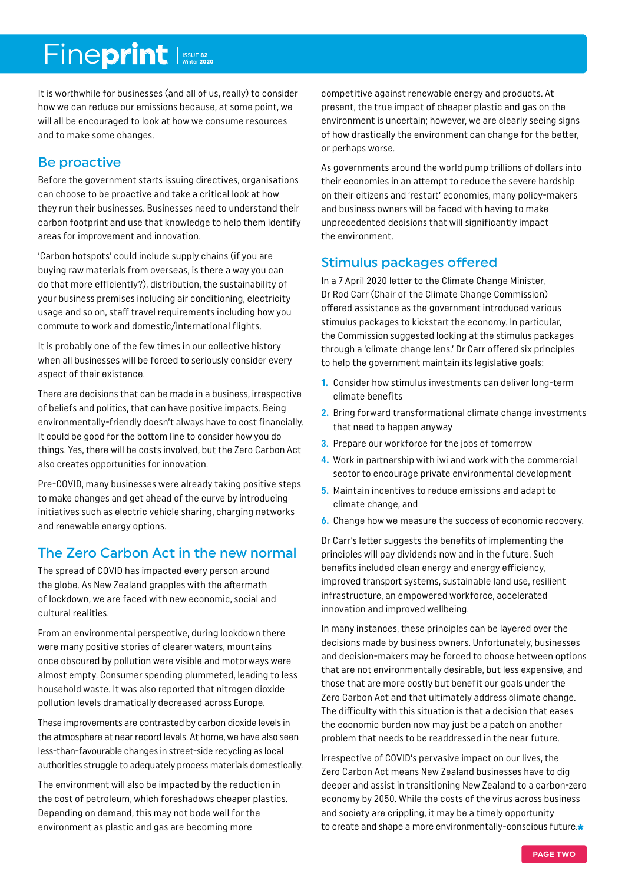# Fineprint Issue 82

It is worthwhile for businesses (and all of us, really) to consider how we can reduce our emissions because, at some point, we will all be encouraged to look at how we consume resources and to make some changes.

### Be proactive

Before the government starts issuing directives, organisations can choose to be proactive and take a critical look at how they run their businesses. Businesses need to understand their carbon footprint and use that knowledge to help them identify areas for improvement and innovation.

'Carbon hotspots' could include supply chains (if you are buying raw materials from overseas, is there a way you can do that more efficiently?), distribution, the sustainability of your business premises including air conditioning, electricity usage and so on, staff travel requirements including how you commute to work and domestic/international flights.

It is probably one of the few times in our collective history when all businesses will be forced to seriously consider every aspect of their existence.

There are decisions that can be made in a business, irrespective of beliefs and politics, that can have positive impacts. Being environmentally-friendly doesn't always have to cost financially. It could be good for the bottom line to consider how you do things. Yes, there will be costs involved, but the Zero Carbon Act also creates opportunities for innovation.

Pre-COVID, many businesses were already taking positive steps to make changes and get ahead of the curve by introducing initiatives such as electric vehicle sharing, charging networks and renewable energy options.

# The Zero Carbon Act in the new normal

The spread of COVID has impacted every person around the globe. As New Zealand grapples with the aftermath of lockdown, we are faced with new economic, social and cultural realities.

From an environmental perspective, during lockdown there were many positive stories of clearer waters, mountains once obscured by pollution were visible and motorways were almost empty. Consumer spending plummeted, leading to less household waste. It was also reported that nitrogen dioxide pollution levels dramatically decreased across Europe.

These improvements are contrasted by carbon dioxide levels in the atmosphere at near record levels. At home, we have also seen less-than-favourable changes in street-side recycling as local authorities struggle to adequately process materials domestically.

The environment will also be impacted by the reduction in the cost of petroleum, which foreshadows cheaper plastics. Depending on demand, this may not bode well for the environment as plastic and gas are becoming more

competitive against renewable energy and products. At present, the true impact of cheaper plastic and gas on the environment is uncertain; however, we are clearly seeing signs of how drastically the environment can change for the better, or perhaps worse.

As governments around the world pump trillions of dollars into their economies in an attempt to reduce the severe hardship on their citizens and 'restart' economies, many policy-makers and business owners will be faced with having to make unprecedented decisions that will significantly impact the environment.

# Stimulus packages offered

In a 7 April 2020 letter to the Climate Change Minister, Dr Rod Carr (Chair of the Climate Change Commission) offered assistance as the government introduced various stimulus packages to kickstart the economy. In particular, the Commission suggested looking at the stimulus packages through a 'climate change lens.' Dr Carr offered six principles to help the government maintain its legislative goals:

- **1.** Consider how stimulus investments can deliver long-term climate benefits
- **2.** Bring forward transformational climate change investments that need to happen anyway
- **3.** Prepare our workforce for the jobs of tomorrow
- **4.** Work in partnership with iwi and work with the commercial sector to encourage private environmental development
- **5.** Maintain incentives to reduce emissions and adapt to climate change, and
- **6.** Change how we measure the success of economic recovery.

Dr Carr's letter suggests the benefits of implementing the principles will pay dividends now and in the future. Such benefits included clean energy and energy efficiency, improved transport systems, sustainable land use, resilient infrastructure, an empowered workforce, accelerated innovation and improved wellbeing.

In many instances, these principles can be layered over the decisions made by business owners. Unfortunately, businesses and decision-makers may be forced to choose between options that are not environmentally desirable, but less expensive, and those that are more costly but benefit our goals under the Zero Carbon Act and that ultimately address climate change. The difficulty with this situation is that a decision that eases the economic burden now may just be a patch on another problem that needs to be readdressed in the near future.

Irrespective of COVID's pervasive impact on our lives, the Zero Carbon Act means New Zealand businesses have to dig deeper and assist in transitioning New Zealand to a carbon-zero economy by 2050. While the costs of the virus across business and society are crippling, it may be a timely opportunity to create and shape a more environmentally-conscious future.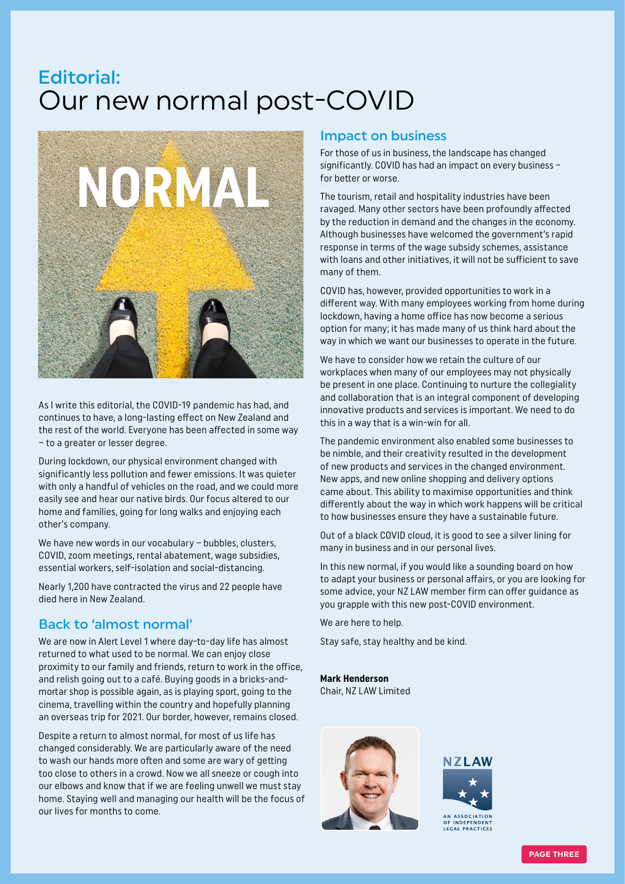# Our new normal post-COVID Editorial:



As I write this editorial, the COVID-19 pandemic has had, and continues to have, a long-lasting effect on New Zealand and the rest of the world. Everyone has been affected in some way – to a greater or lesser degree.

During lockdown, our physical environment changed with significantly less pollution and fewer emissions. It was quieter with only a handful of vehicles on the road, and we could more easily see and hear our native birds. Our focus altered to our home and families, going for long walks and enjoying each other's company.

We have new words in our vocabulary - bubbles, clusters, COVID, zoom meetings, rental abatement, wage subsidies, essential workers, self-isolation and social-distancing.

Nearly 1,200 have contracted the virus and 22 people have died here in New Zealand.

### Back to 'almost normal'

We are now in Alert Level 1 where day-to-day life has almost returned to what used to be normal. We can enjoy close proximity to our family and friends, return to work in the office, and relish going out to a café. Buying goods in a bricks-andmortar shop is possible again, as is playing sport, going to the cinema, travelling within the country and hopefully planning an overseas trip for 2021. Our border, however, remains closed.

Despite a return to almost normal, for most of us life has changed considerably. We are particularly aware of the need to wash our hands more often and some are wary of getting too close to others in a crowd. Now we all sneeze or cough into our elbows and know that if we are feeling unwell we must stay home. Staying well and managing our health will be the focus of our lives for months to come.

#### Impact on business

For those of us in business, the landscape has changed significantly. COVID has had an impact on every business – for better or worse.

The tourism, retail and hospitality industries have been ravaged. Many other sectors have been profoundly affected by the reduction in demand and the changes in the economy. Although businesses have welcomed the government's rapid response in terms of the wage subsidy schemes, assistance with loans and other initiatives, it will not be sufficient to save many of them.

COVID has, however, provided opportunities to work in a different way. With many employees working from home during lockdown, having a home office has now become a serious option for many; it has made many of us think hard about the way in which we want our businesses to operate in the future.

We have to consider how we retain the culture of our workplaces when many of our employees may not physically be present in one place. Continuing to nurture the collegiality and collaboration that is an integral component of developing innovative products and services is important. We need to do this in a way that is a win-win for all.

The pandemic environment also enabled some businesses to be nimble, and their creativity resulted in the development of new products and services in the changed environment. New apps, and new online shopping and delivery options came about. This ability to maximise opportunities and think differently about the way in which work happens will be critical to how businesses ensure they have a sustainable future.

Out of a black COVID cloud, it is good to see a silver lining for many in business and in our personal lives.

In this new normal, if you would like a sounding board on how to adapt your business or personal affairs, or you are looking for some advice, your NZ LAW member firm can offer guidance as you grapple with this new post-COVID environment.

We are here to help.

Stay safe, stay healthy and be kind.

**Mark Henderson** Chair, NZ LAW Limited





**PAGE THREE**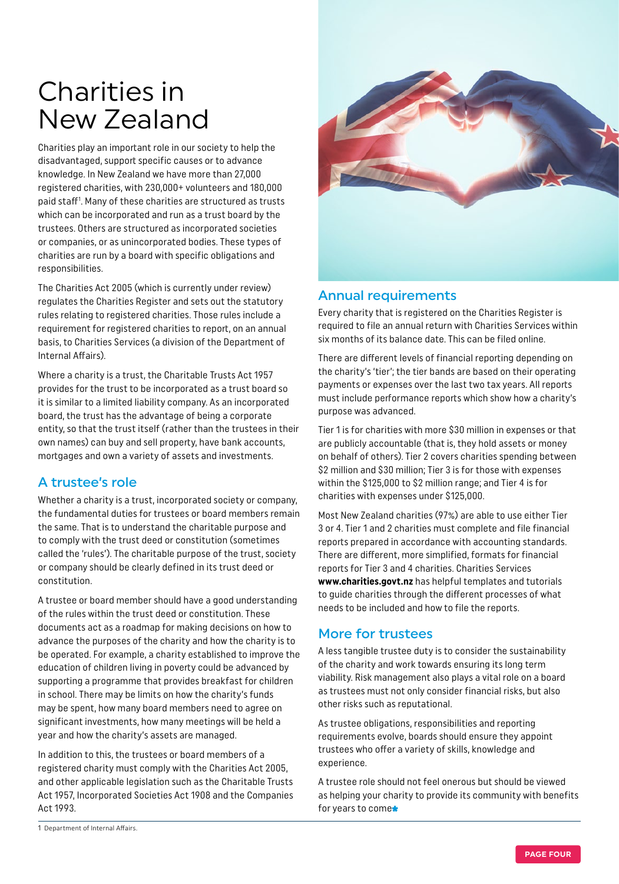# Charities in New Zealand

Charities play an important role in our society to help the disadvantaged, support specific causes or to advance knowledge. In New Zealand we have more than 27,000 registered charities, with 230,000+ volunteers and 180,000 paid staff<sup>1</sup>. Many of these charities are structured as trusts which can be incorporated and run as a trust board by the trustees. Others are structured as incorporated societies or companies, or as unincorporated bodies. These types of charities are run by a board with specific obligations and responsibilities.

The Charities Act 2005 (which is currently under review) regulates the Charities Register and sets out the statutory rules relating to registered charities. Those rules include a requirement for registered charities to report, on an annual basis, to Charities Services (a division of the Department of Internal Affairs).

Where a charity is a trust, the Charitable Trusts Act 1957 provides for the trust to be incorporated as a trust board so it is similar to a limited liability company. As an incorporated board, the trust has the advantage of being a corporate entity, so that the trust itself (rather than the trustees in their own names) can buy and sell property, have bank accounts, mortgages and own a variety of assets and investments.

# A trustee's role

Whether a charity is a trust, incorporated society or company, the fundamental duties for trustees or board members remain the same. That is to understand the charitable purpose and to comply with the trust deed or constitution (sometimes called the 'rules'). The charitable purpose of the trust, society or company should be clearly defined in its trust deed or constitution.

A trustee or board member should have a good understanding of the rules within the trust deed or constitution. These documents act as a roadmap for making decisions on how to advance the purposes of the charity and how the charity is to be operated. For example, a charity established to improve the education of children living in poverty could be advanced by supporting a programme that provides breakfast for children in school. There may be limits on how the charity's funds may be spent, how many board members need to agree on significant investments, how many meetings will be held a year and how the charity's assets are managed.

In addition to this, the trustees or board members of a registered charity must comply with the Charities Act 2005, and other applicable legislation such as the Charitable Trusts Act 1957, Incorporated Societies Act 1908 and the Companies Act 1993.



### Annual requirements

Every charity that is registered on the Charities Register is required to file an annual return with Charities Services within six months of its balance date. This can be filed online.

There are different levels of financial reporting depending on the charity's 'tier'; the tier bands are based on their operating payments or expenses over the last two tax years. All reports must include performance reports which show how a charity's purpose was advanced.

Tier 1 is for charities with more \$30 million in expenses or that are publicly accountable (that is, they hold assets or money on behalf of others). Tier 2 covers charities spending between \$2 million and \$30 million; Tier 3 is for those with expenses within the \$125,000 to \$2 million range; and Tier 4 is for charities with expenses under \$125,000.

Most New Zealand charities (97%) are able to use either Tier 3 or 4. Tier 1 and 2 charities must complete and file financial reports prepared in accordance with accounting standards. There are different, more simplified, formats for financial reports for Tier 3 and 4 charities. Charities Services **[www.charities.govt.nz](http://www.charities.govt.nz/)** has helpful templates and tutorials to guide charities through the different processes of what needs to be included and how to file the reports.

# More for trustees

A less tangible trustee duty is to consider the sustainability of the charity and work towards ensuring its long term viability. Risk management also plays a vital role on a board as trustees must not only consider financial risks, but also other risks such as reputational.

As trustee obligations, responsibilities and reporting requirements evolve, boards should ensure they appoint trustees who offer a variety of skills, knowledge and experience.

A trustee role should not feel onerous but should be viewed as helping your charity to provide its community with benefits for years to come\*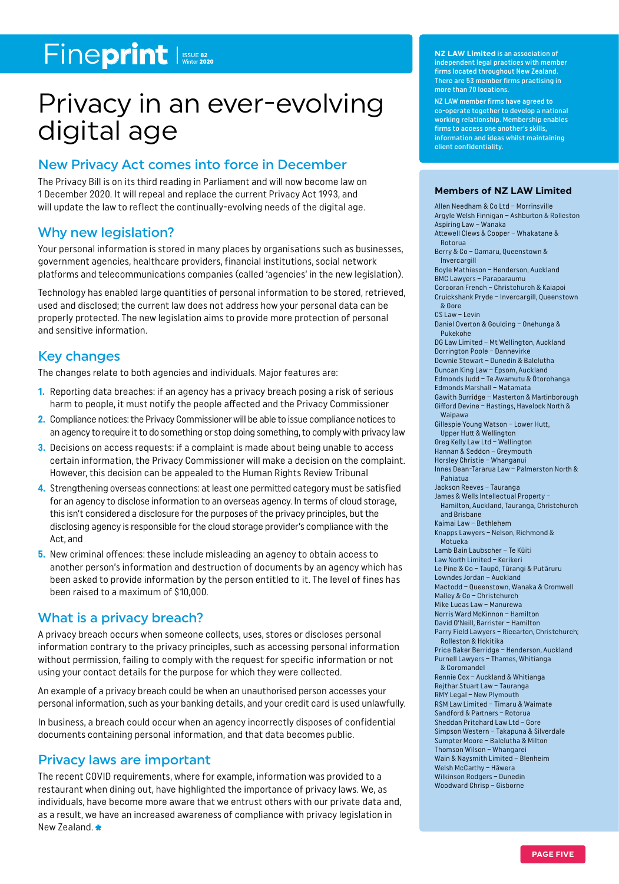# Fineprint ISSUE 82

# Privacy in an ever-evolving digital age

# New Privacy Act comes into force in December

The Privacy Bill is on its third reading in Parliament and will now become law on 1 December 2020. It will repeal and replace the current Privacy Act 1993, and will update the law to reflect the continually-evolving needs of the digital age.

### Why new legislation?

Your personal information is stored in many places by organisations such as businesses, government agencies, healthcare providers, financial institutions, social network platforms and telecommunications companies (called 'agencies' in the new legislation).

Technology has enabled large quantities of personal information to be stored, retrieved, used and disclosed; the current law does not address how your personal data can be properly protected. The new legislation aims to provide more protection of personal and sensitive information.

### Key changes

The changes relate to both agencies and individuals. Major features are:

- **1.** Reporting data breaches: if an agency has a privacy breach posing a risk of serious harm to people, it must notify the people affected and the Privacy Commissioner
- **2.** Compliance notices: the Privacy Commissioner will be able to issue compliance notices to an agency to require it to do something or stop doing something, to comply with privacy law
- **3.** Decisions on access requests: if a complaint is made about being unable to access certain information, the Privacy Commissioner will make a decision on the complaint. However, this decision can be appealed to the Human Rights Review Tribunal
- **4.** Strengthening overseas connections: at least one permitted category must be satisfied for an agency to disclose information to an overseas agency. In terms of cloud storage, this isn't considered a disclosure for the purposes of the privacy principles, but the disclosing agency is responsible for the cloud storage provider's compliance with the Act, and
- **5.** New criminal offences: these include misleading an agency to obtain access to another person's information and destruction of documents by an agency which has been asked to provide information by the person entitled to it. The level of fines has been raised to a maximum of \$10,000.

### What is a privacy breach?

A privacy breach occurs when someone collects, uses, stores or discloses personal information contrary to the privacy principles, such as accessing personal information without permission, failing to comply with the request for specific information or not using your contact details for the purpose for which they were collected.

An example of a privacy breach could be when an unauthorised person accesses your personal information, such as your banking details, and your credit card is used unlawfully.

In business, a breach could occur when an agency incorrectly disposes of confidential documents containing personal information, and that data becomes public.

### Privacy laws are important

The recent COVID requirements, where for example, information was provided to a restaurant when dining out, have highlighted the importance of privacy laws. We, as individuals, have become more aware that we entrust others with our private data and, as a result, we have an increased awareness of compliance with privacy legislation in New Zealand.

**NZ LAW Limited** is an association of independent legal practices with member firms located throughout New Zealand. There are 53 member firms practising in more than 70 locations.

NZ LAW member firms have agreed to co-operate together to develop a national working relationship. Membership enables firms to access one another's skills, information and ideas whilst maintaining client confidentiality.

#### **Members of NZ LAW Limited**

Allen Needham & Co Ltd – Morrinsville Argyle Welsh Finnigan – Ashburton & Rolleston Aspiring Law – Wanaka Attewell Clews & Cooper – Whakatane & Rotorua Berry & Co – Oamaru, Queenstown & Invercargill Boyle Mathieson – Henderson, Auckland BMC Lawyers – Paraparaumu Corcoran French – Christchurch & Kaiapoi Cruickshank Pryde – Invercargill, Queenstown & Gore CS Law – Levin Daniel Overton & Goulding – Onehunga & Pukekohe DG Law Limited – Mt Wellington, Auckland Dorrington Poole – Dannevirke Downie Stewart – Dunedin & Balclutha Duncan King Law – Epsom, Auckland Edmonds Judd – Te Awamutu & Ōtorohanga Edmonds Marshall – Matamata Gawith Burridge – Masterton & Martinborough Gifford Devine – Hastings, Havelock North & Waipawa Gillespie Young Watson – Lower Hutt, Upper Hutt & Wellington Greg Kelly Law Ltd – Wellington Hannan & Seddon – Greymouth Horsley Christie – Whanganui Innes Dean-Tararua Law – Palmerston North & Pahiatua Jackson Reeves – Tauranga James & Wells Intellectual Property – Hamilton, Auckland, Tauranga, Christchurch and Brisbane Kaimai Law – Bethlehem Knapps Lawyers – Nelson, Richmond & Motueka Lamb Bain Laubscher – Te Kūiti Law North Limited – Kerikeri Le Pine & Co – Taupō, Tūrangi & Putāruru Lowndes Jordan – Auckland Mactodd – Queenstown, Wanaka & Cromwell Malley & Co – Christchurch Mike Lucas Law – Manurewa Norris Ward McKinnon – Hamilton David O'Neill, Barrister – Hamilton Parry Field Lawyers – Riccarton, Christchurch; Rolleston & Hokitika Price Baker Berridge – Henderson, Auckland Purnell Lawyers – Thames, Whitianga & Coromandel Rennie Cox – Auckland & Whitianga Rejthar Stuart Law – Tauranga RMY Legal – New Plymouth RSM Law Limited – Timaru & Waimate Sandford & Partners – Rotorua Sheddan Pritchard Law Ltd – Gore Simpson Western – Takapuna & Silverdale Sumpter Moore – Balclutha & Milton Thomson Wilson – Whangarei Wain & Naysmith Limited – Blenheim Welsh McCarthy – Hāwera Wilkinson Rodgers – Dunedin Woodward Chrisp – Gisborne